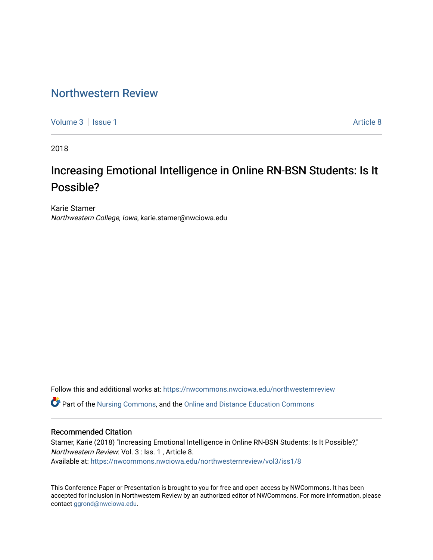# [Northwestern Review](https://nwcommons.nwciowa.edu/northwesternreview)

[Volume 3](https://nwcommons.nwciowa.edu/northwesternreview/vol3) | [Issue 1](https://nwcommons.nwciowa.edu/northwesternreview/vol3/iss1) Article 8

2018

# Increasing Emotional Intelligence in Online RN-BSN Students: Is It Possible?

Karie Stamer Northwestern College, Iowa, karie.stamer@nwciowa.edu

Follow this and additional works at: [https://nwcommons.nwciowa.edu/northwesternreview](https://nwcommons.nwciowa.edu/northwesternreview?utm_source=nwcommons.nwciowa.edu%2Fnorthwesternreview%2Fvol3%2Fiss1%2F8&utm_medium=PDF&utm_campaign=PDFCoverPages) 

Part of the [Nursing Commons,](http://network.bepress.com/hgg/discipline/718?utm_source=nwcommons.nwciowa.edu%2Fnorthwesternreview%2Fvol3%2Fiss1%2F8&utm_medium=PDF&utm_campaign=PDFCoverPages) and the [Online and Distance Education Commons](http://network.bepress.com/hgg/discipline/1296?utm_source=nwcommons.nwciowa.edu%2Fnorthwesternreview%2Fvol3%2Fiss1%2F8&utm_medium=PDF&utm_campaign=PDFCoverPages) 

### Recommended Citation

Stamer, Karie (2018) "Increasing Emotional Intelligence in Online RN-BSN Students: Is It Possible?," Northwestern Review: Vol. 3 : Iss. 1 , Article 8. Available at: [https://nwcommons.nwciowa.edu/northwesternreview/vol3/iss1/8](https://nwcommons.nwciowa.edu/northwesternreview/vol3/iss1/8?utm_source=nwcommons.nwciowa.edu%2Fnorthwesternreview%2Fvol3%2Fiss1%2F8&utm_medium=PDF&utm_campaign=PDFCoverPages)

This Conference Paper or Presentation is brought to you for free and open access by NWCommons. It has been accepted for inclusion in Northwestern Review by an authorized editor of NWCommons. For more information, please contact [ggrond@nwciowa.edu](mailto:ggrond@nwciowa.edu).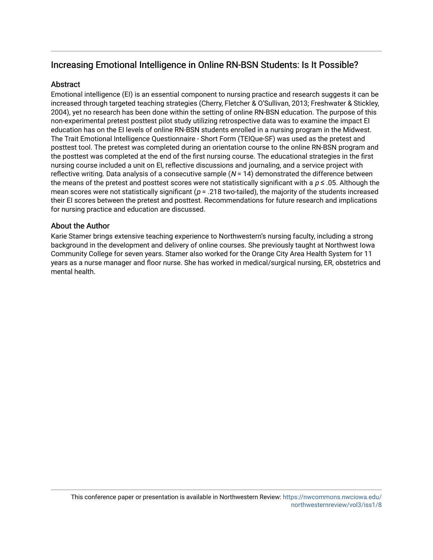# Increasing Emotional Intelligence in Online RN-BSN Students: Is It Possible?

### Abstract

Emotional intelligence (EI) is an essential component to nursing practice and research suggests it can be increased through targeted teaching strategies (Cherry, Fletcher & O'Sullivan, 2013; Freshwater & Stickley, 2004), yet no research has been done within the setting of online RN-BSN education. The purpose of this non-experimental pretest posttest pilot study utilizing retrospective data was to examine the impact EI education has on the EI levels of online RN-BSN students enrolled in a nursing program in the Midwest. The Trait Emotional Intelligence Questionnaire - Short Form (TEIQue-SF) was used as the pretest and posttest tool. The pretest was completed during an orientation course to the online RN-BSN program and the posttest was completed at the end of the first nursing course. The educational strategies in the first nursing course included a unit on EI, reflective discussions and journaling, and a service project with reflective writing. Data analysis of a consecutive sample  $(N = 14)$  demonstrated the difference between the means of the pretest and posttest scores were not statistically significant with a  $p \le 0.05$ . Although the mean scores were not statistically significant ( $p = 0.218$  two-tailed), the majority of the students increased their EI scores between the pretest and posttest. Recommendations for future research and implications for nursing practice and education are discussed.

### About the Author

Karie Stamer brings extensive teaching experience to Northwestern's nursing faculty, including a strong background in the development and delivery of online courses. She previously taught at Northwest Iowa Community College for seven years. Stamer also worked for the Orange City Area Health System for 11 years as a nurse manager and floor nurse. She has worked in medical/surgical nursing, ER, obstetrics and mental health.